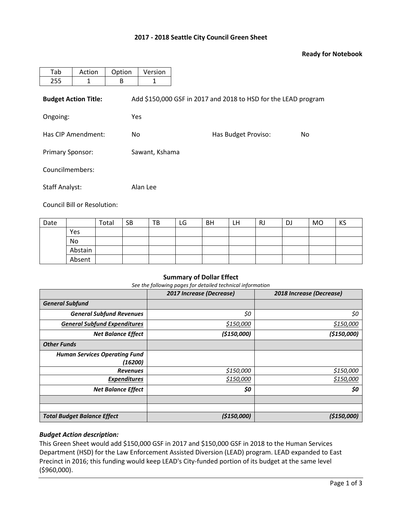## **2017 - 2018 Seattle City Council Green Sheet**

### **Ready for Notebook**

| Tab                         | Action | Option     | Version        |                                                                |     |  |  |  |  |
|-----------------------------|--------|------------|----------------|----------------------------------------------------------------|-----|--|--|--|--|
| 255                         | 1      | B          | 1              |                                                                |     |  |  |  |  |
| <b>Budget Action Title:</b> |        |            |                | Add \$150,000 GSF in 2017 and 2018 to HSD for the LEAD program |     |  |  |  |  |
| Ongoing:                    |        | <b>Yes</b> |                |                                                                |     |  |  |  |  |
| Has CIP Amendment:          |        | No.        |                | Has Budget Proviso:                                            | No. |  |  |  |  |
| <b>Primary Sponsor:</b>     |        |            | Sawant, Kshama |                                                                |     |  |  |  |  |
| Councilmembers:             |        |            |                |                                                                |     |  |  |  |  |
| <b>Staff Analyst:</b>       |        |            | Alan Lee       |                                                                |     |  |  |  |  |

Council Bill or Resolution:

| Date |         | Total | <b>SB</b> | ΤВ | LG | <b>BH</b> | LH | <b>RJ</b> | DJ | <b>MO</b> | KS |
|------|---------|-------|-----------|----|----|-----------|----|-----------|----|-----------|----|
|      | Yes     |       |           |    |    |           |    |           |    |           |    |
|      | No      |       |           |    |    |           |    |           |    |           |    |
|      | Abstain |       |           |    |    |           |    |           |    |           |    |
|      | Absent  |       |           |    |    |           |    |           |    |           |    |

#### **Summary of Dollar Effect**

*See the following pages for detailed technical information*

|                                      | 2017 Increase (Decrease) | 2018 Increase (Decrease) |  |  |
|--------------------------------------|--------------------------|--------------------------|--|--|
| <b>General Subfund</b>               |                          |                          |  |  |
| <b>General Subfund Revenues</b>      | \$0                      | \$0                      |  |  |
| <b>General Subfund Expenditures</b>  | \$150,000                | \$150,000                |  |  |
| <b>Net Balance Effect</b>            | (\$150,000)              | (\$150,000)              |  |  |
| <b>Other Funds</b>                   |                          |                          |  |  |
| <b>Human Services Operating Fund</b> |                          |                          |  |  |
| (16200)                              |                          |                          |  |  |
| <b>Revenues</b>                      | \$150,000                | \$150,000                |  |  |
| <b>Expenditures</b>                  | \$150,000                | \$150,000                |  |  |
| <b>Net Balance Effect</b>            | \$0                      | \$0                      |  |  |
|                                      |                          |                          |  |  |
|                                      |                          |                          |  |  |
| <b>Total Budget Balance Effect</b>   | (\$150,000)              | (\$150,000)              |  |  |

## *Budget Action description:*

This Green Sheet would add \$150,000 GSF in 2017 and \$150,000 GSF in 2018 to the Human Services Department (HSD) for the Law Enforcement Assisted Diversion (LEAD) program. LEAD expanded to East Precinct in 2016; this funding would keep LEAD's City-funded portion of its budget at the same level (\$960,000).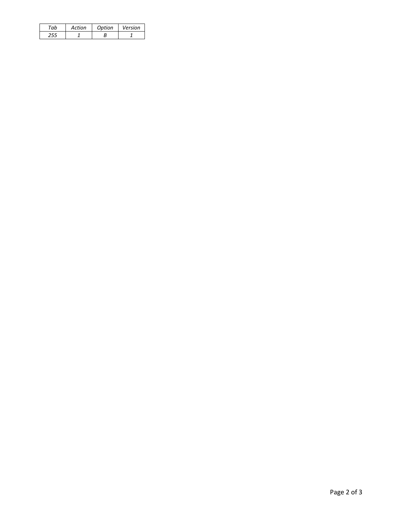| Action | Option | Version |
|--------|--------|---------|
|        |        |         |